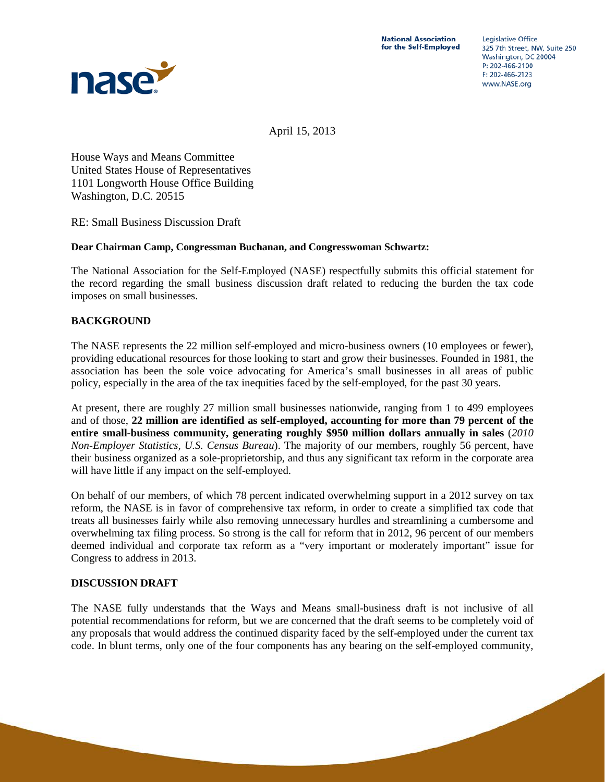

April 15, 2013

House Ways and Means Committee United States House of Representatives 1101 Longworth House Office Building Washington, D.C. 20515

RE: Small Business Discussion Draft

### **Dear Chairman Camp, Congressman Buchanan, and Congresswoman Schwartz:**

The National Association for the Self-Employed (NASE) respectfully submits this official statement for the record regarding the small business discussion draft related to reducing the burden the tax code imposes on small businesses.

## **BACKGROUND**

The NASE represents the 22 million self-employed and micro-business owners (10 employees or fewer), providing educational resources for those looking to start and grow their businesses. Founded in 1981, the association has been the sole voice advocating for America's small businesses in all areas of public policy, especially in the area of the tax inequities faced by the self-employed, for the past 30 years.

At present, there are roughly 27 million small businesses nationwide, ranging from 1 to 499 employees and of those, **22 million are identified as self-employed, accounting for more than 79 percent of the entire small-business community, generating roughly \$950 million dollars annually in sales** (*2010 Non-Employer Statistics, U.S. Census Bureau*). The majority of our members, roughly 56 percent, have their business organized as a sole-proprietorship, and thus any significant tax reform in the corporate area will have little if any impact on the self-employed.

On behalf of our members, of which 78 percent indicated overwhelming support in a 2012 survey on tax reform, the NASE is in favor of comprehensive tax reform, in order to create a simplified tax code that treats all businesses fairly while also removing unnecessary hurdles and streamlining a cumbersome and overwhelming tax filing process. So strong is the call for reform that in 2012, 96 percent of our members deemed individual and corporate tax reform as a "very important or moderately important" issue for Congress to address in 2013.

## **DISCUSSION DRAFT**

The NASE fully understands that the Ways and Means small-business draft is not inclusive of all potential recommendations for reform, but we are concerned that the draft seems to be completely void of any proposals that would address the continued disparity faced by the self-employed under the current tax code. In blunt terms, only one of the four components has any bearing on the self-employed community,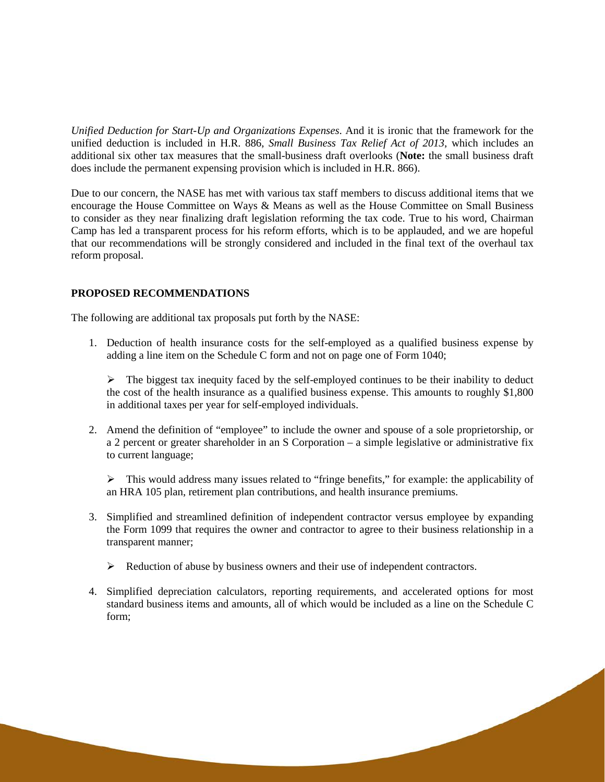*Unified Deduction for Start-Up and Organizations Expenses*. And it is ironic that the framework for the unified deduction is included in H.R. 886, *Small Business Tax Relief Act of 2013*, which includes an additional six other tax measures that the small-business draft overlooks (**Note:** the small business draft does include the permanent expensing provision which is included in H.R. 866).

Due to our concern, the NASE has met with various tax staff members to discuss additional items that we encourage the House Committee on Ways & Means as well as the House Committee on Small Business to consider as they near finalizing draft legislation reforming the tax code. True to his word, Chairman Camp has led a transparent process for his reform efforts, which is to be applauded, and we are hopeful that our recommendations will be strongly considered and included in the final text of the overhaul tax reform proposal.

### **PROPOSED RECOMMENDATIONS**

The following are additional tax proposals put forth by the NASE:

1. Deduction of health insurance costs for the self-employed as a qualified business expense by adding a line item on the Schedule C form and not on page one of Form 1040;

 $\triangleright$  The biggest tax inequity faced by the self-employed continues to be their inability to deduct the cost of the health insurance as a qualified business expense. This amounts to roughly \$1,800 in additional taxes per year for self-employed individuals.

2. Amend the definition of "employee" to include the owner and spouse of a sole proprietorship, or a 2 percent or greater shareholder in an S Corporation – a simple legislative or administrative fix to current language;

 $\triangleright$  This would address many issues related to "fringe benefits," for example: the applicability of an HRA 105 plan, retirement plan contributions, and health insurance premiums.

- 3. Simplified and streamlined definition of independent contractor versus employee by expanding the Form 1099 that requires the owner and contractor to agree to their business relationship in a transparent manner;
	- $\triangleright$  Reduction of abuse by business owners and their use of independent contractors.
- 4. Simplified depreciation calculators, reporting requirements, and accelerated options for most standard business items and amounts, all of which would be included as a line on the Schedule C form;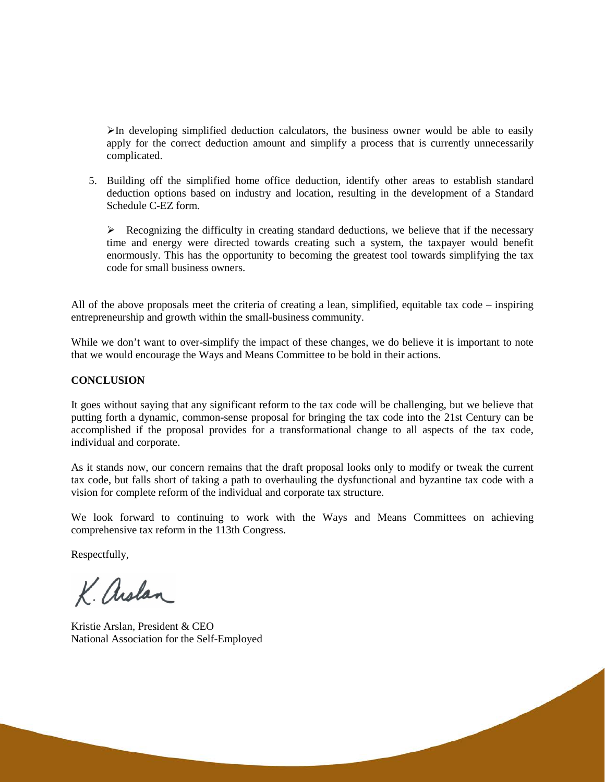$\triangleright$ In developing simplified deduction calculators, the business owner would be able to easily apply for the correct deduction amount and simplify a process that is currently unnecessarily complicated.

5. Building off the simplified home office deduction, identify other areas to establish standard deduction options based on industry and location, resulting in the development of a Standard Schedule C-EZ form.

 $\triangleright$  Recognizing the difficulty in creating standard deductions, we believe that if the necessary time and energy were directed towards creating such a system, the taxpayer would benefit enormously. This has the opportunity to becoming the greatest tool towards simplifying the tax code for small business owners.

All of the above proposals meet the criteria of creating a lean, simplified, equitable tax code – inspiring entrepreneurship and growth within the small-business community.

While we don't want to over-simplify the impact of these changes, we do believe it is important to note that we would encourage the Ways and Means Committee to be bold in their actions.

#### **CONCLUSION**

It goes without saying that any significant reform to the tax code will be challenging, but we believe that putting forth a dynamic, common-sense proposal for bringing the tax code into the 21st Century can be accomplished if the proposal provides for a transformational change to all aspects of the tax code, individual and corporate.

As it stands now, our concern remains that the draft proposal looks only to modify or tweak the current tax code, but falls short of taking a path to overhauling the dysfunctional and byzantine tax code with a vision for complete reform of the individual and corporate tax structure.

We look forward to continuing to work with the Ways and Means Committees on achieving comprehensive tax reform in the 113th Congress.

Respectfully,

K. arslan

Kristie Arslan, President & CEO National Association for the Self-Employed